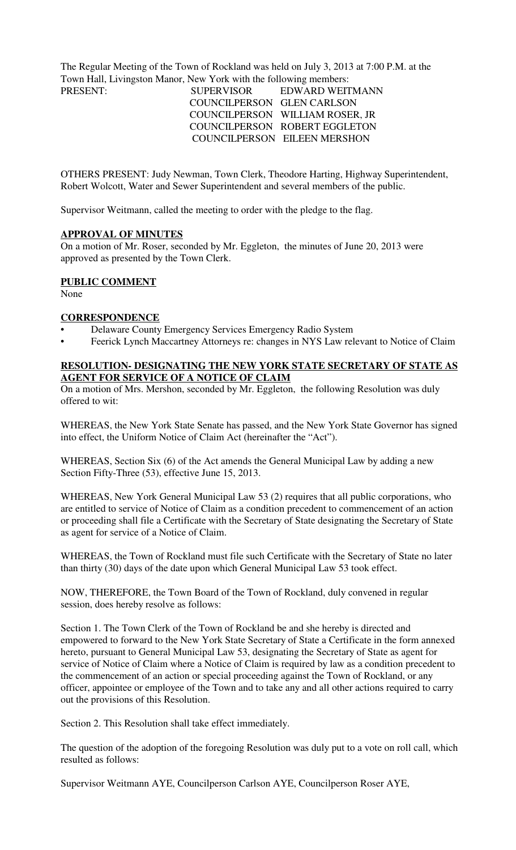The Regular Meeting of the Town of Rockland was held on July 3, 2013 at 7:00 P.M. at the Town Hall, Livingston Manor, New York with the following members:

### PRESENT: SUPERVISOR EDWARD WEITMANN COUNCILPERSON GLEN CARLSON COUNCILPERSON WILLIAM ROSER, JR COUNCILPERSON ROBERT EGGLETON COUNCILPERSON EILEEN MERSHON

OTHERS PRESENT: Judy Newman, Town Clerk, Theodore Harting, Highway Superintendent, Robert Wolcott, Water and Sewer Superintendent and several members of the public.

Supervisor Weitmann, called the meeting to order with the pledge to the flag.

#### **APPROVAL OF MINUTES**

On a motion of Mr. Roser, seconded by Mr. Eggleton, the minutes of June 20, 2013 were approved as presented by the Town Clerk.

### **PUBLIC COMMENT**

None

#### **CORRESPONDENCE**

- Delaware County Emergency Services Emergency Radio System
- Feerick Lynch Maccartney Attorneys re: changes in NYS Law relevant to Notice of Claim

### **RESOLUTION- DESIGNATING THE NEW YORK STATE SECRETARY OF STATE AS AGENT FOR SERVICE OF A NOTICE OF CLAIM**

On a motion of Mrs. Mershon, seconded by Mr. Eggleton, the following Resolution was duly offered to wit:

WHEREAS, the New York State Senate has passed, and the New York State Governor has signed into effect, the Uniform Notice of Claim Act (hereinafter the "Act").

WHEREAS, Section Six (6) of the Act amends the General Municipal Law by adding a new Section Fifty-Three (53), effective June 15, 2013.

WHEREAS, New York General Municipal Law 53 (2) requires that all public corporations, who are entitled to service of Notice of Claim as a condition precedent to commencement of an action or proceeding shall file a Certificate with the Secretary of State designating the Secretary of State as agent for service of a Notice of Claim.

WHEREAS, the Town of Rockland must file such Certificate with the Secretary of State no later than thirty (30) days of the date upon which General Municipal Law 53 took effect.

NOW, THEREFORE, the Town Board of the Town of Rockland, duly convened in regular session, does hereby resolve as follows:

Section 1. The Town Clerk of the Town of Rockland be and she hereby is directed and empowered to forward to the New York State Secretary of State a Certificate in the form annexed hereto, pursuant to General Municipal Law 53, designating the Secretary of State as agent for service of Notice of Claim where a Notice of Claim is required by law as a condition precedent to the commencement of an action or special proceeding against the Town of Rockland, or any officer, appointee or employee of the Town and to take any and all other actions required to carry out the provisions of this Resolution.

Section 2. This Resolution shall take effect immediately.

The question of the adoption of the foregoing Resolution was duly put to a vote on roll call, which resulted as follows:

Supervisor Weitmann AYE, Councilperson Carlson AYE, Councilperson Roser AYE,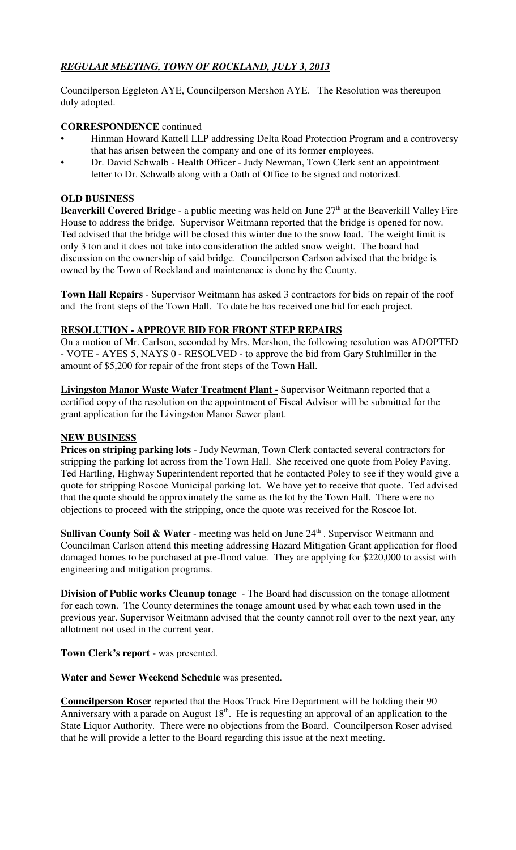# *REGULAR MEETING, TOWN OF ROCKLAND, JULY 3, 2013*

Councilperson Eggleton AYE, Councilperson Mershon AYE. The Resolution was thereupon duly adopted.

# **CORRESPONDENCE** continued

- Hinman Howard Kattell LLP addressing Delta Road Protection Program and a controversy that has arisen between the company and one of its former employees.
- Dr. David Schwalb Health Officer Judy Newman, Town Clerk sent an appointment letter to Dr. Schwalb along with a Oath of Office to be signed and notorized.

### **OLD BUSINESS**

**Beaverkill Covered Bridge** - a public meeting was held on June 27<sup>th</sup> at the Beaverkill Valley Fire House to address the bridge. Supervisor Weitmann reported that the bridge is opened for now. Ted advised that the bridge will be closed this winter due to the snow load. The weight limit is only 3 ton and it does not take into consideration the added snow weight. The board had discussion on the ownership of said bridge. Councilperson Carlson advised that the bridge is owned by the Town of Rockland and maintenance is done by the County.

**Town Hall Repairs** - Supervisor Weitmann has asked 3 contractors for bids on repair of the roof and the front steps of the Town Hall. To date he has received one bid for each project.

### **RESOLUTION - APPROVE BID FOR FRONT STEP REPAIRS**

On a motion of Mr. Carlson, seconded by Mrs. Mershon, the following resolution was ADOPTED - VOTE - AYES 5, NAYS 0 - RESOLVED - to approve the bid from Gary Stuhlmiller in the amount of \$5,200 for repair of the front steps of the Town Hall.

**Livingston Manor Waste Water Treatment Plant -** Supervisor Weitmann reported that a certified copy of the resolution on the appointment of Fiscal Advisor will be submitted for the grant application for the Livingston Manor Sewer plant.

# **NEW BUSINESS**

**Prices on striping parking lots** - Judy Newman, Town Clerk contacted several contractors for stripping the parking lot across from the Town Hall. She received one quote from Poley Paving. Ted Hartling, Highway Superintendent reported that he contacted Poley to see if they would give a quote for stripping Roscoe Municipal parking lot. We have yet to receive that quote. Ted advised that the quote should be approximately the same as the lot by the Town Hall. There were no objections to proceed with the stripping, once the quote was received for the Roscoe lot.

**Sullivan County Soil & Water** - meeting was held on June 24<sup>th</sup>. Supervisor Weitmann and Councilman Carlson attend this meeting addressing Hazard Mitigation Grant application for flood damaged homes to be purchased at pre-flood value. They are applying for \$220,000 to assist with engineering and mitigation programs.

**Division of Public works Cleanup tonage** - The Board had discussion on the tonage allotment for each town. The County determines the tonage amount used by what each town used in the previous year. Supervisor Weitmann advised that the county cannot roll over to the next year, any allotment not used in the current year.

**Town Clerk's report** - was presented.

**Water and Sewer Weekend Schedule** was presented.

**Councilperson Roser** reported that the Hoos Truck Fire Department will be holding their 90 Anniversary with a parade on August 18<sup>th</sup>. He is requesting an approval of an application to the State Liquor Authority. There were no objections from the Board. Councilperson Roser advised that he will provide a letter to the Board regarding this issue at the next meeting.